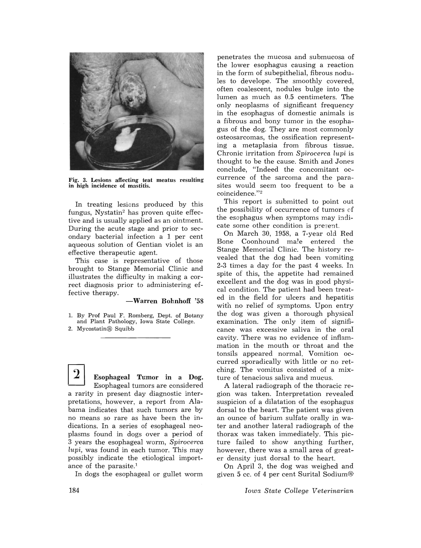

Fig. 3. Lesions affecting teat meatus resulting in high incidence of mastitis.

In treating lesions produced by this fungus, Nystatin2 has proven quite effective and is usually applied as an ointment. During the acute stage and prior to secondary bacterial infection a 1 per cent aqueous solution of Gentian violet is an effective therapeutic agent.

This case is representative of those brought to Stange Memorial Clinic and illustrates the difficulty in making a correct diagnosis prior to administering effective therapy.

-Warren Bohnhoff '58

1. By Prof Paul F. Romberg, Dept. of Botany and Plant Pathology, Iowa State College. 2. Mycostatin® Squibb

Esophageal Tumor in a Dog. Esophageal tumors are considered a rarity in present day diagnostic interpretations, however, a report from Alabama indicates that such tumors are by no means so rare as have been the indications. In a series of esophageal neoplasms found in dogs over a period of 3 years .the esophageal worm, *Spirocerca lupi,* was found in each tumor. This may possibly indicate the etiological importance of the parasite.<sup>1</sup>

In dogs the esophageal or gullet worm

penetrates the mucosa and submucosa of the lower esophagus causing a reaction in the form of subepithelial, fibrous nodules to develope. The smoothly covered, often coalescent, nodules bulge into the lumen as much as 0.5 centimeters. The only neoplasms of significant frequency in the esophagus of domestic animals is a fibrous and bony tumor in the esophagus of the dog. They are most commonly osteosarcomas, the ossification representing a metaplasia from fibrous tissue. Chronic irritation from *Spirocerca lupi* is thought to be the cause. Smith and Jones conclude, "Indeed the concomitant occurrence of the sarcoma and the parasites would seem too frequent to be a coincidence."<sup>2</sup>

This report is submitted to point out the possibility of occurrence of tumors of the esophagus when symptoms may indicate some other condition is present.

On March 30, 1958, a 7-year old Red Bone Coonhound male entered the Stange Memorial Clinic. The history revealed that the dog had been vomiting 2-3 times a day for the past 4 weeks. In spite of this, the appetite had remained excellent and the dog was in good physical condition. The patient had been treated in the field for ulcers and hepatitis with no relief of symptoms. Upon entry the dog was given a thorough physical examination. The only item of significance was excessive saliva in the oral cavity. There was no evidence of inflammation in the mouth or throat and the tonsils appeared normal. Vomition occurred sporadically with little or no retching. The vomitus consisted of a mixture of tenacious saliva and mucus.

A lateral radiograph of the thoracic region was taken. Interpretation revealed suspicion of a dilatation of the esophagus dorsal to the heart. The patient was given an ounce of barium sulfate orally in water and another lateral radiograph of the thorax was taken immediately. This picture failed to show anything further, however, there was a small area of greater density just dorsal to the heart.

On April 3, the dog was weighed and given 5 cc. of 4 per cent Surital Sodium®

*Iowa, State College Veterinarian*